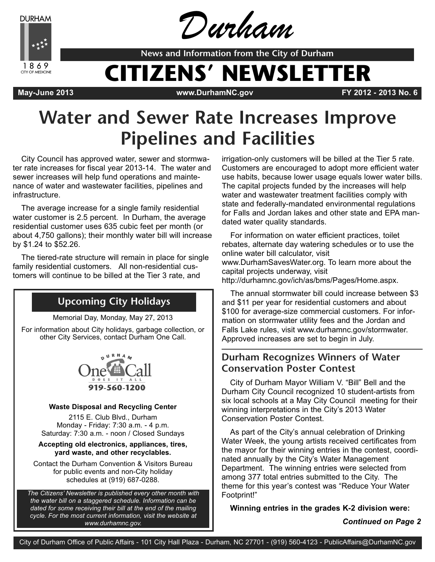**DURHAM** 



Durham

**News and Information from the City of Durham**

# **CITIZENS' NEWSLETTER**

**May-June 2013 www.DurhamNC.gov FY 2012 - 2013 No. 6**

## **Water and Sewer Rate Increases Improve Pipelines and Facilities**

City Council has approved water, sewer and stormwater rate increases for fiscal year 2013-14. The water and sewer increases will help fund operations and maintenance of water and wastewater facilities, pipelines and infrastructure.

The average increase for a single family residential water customer is 2.5 percent. In Durham, the average residential customer uses 635 cubic feet per month (or about 4,750 gallons); their monthly water bill will increase by \$1.24 to \$52.26.

The tiered-rate structure will remain in place for single family residential customers. All non-residential customers will continue to be billed at the Tier 3 rate, and

### **Upcoming City Holidays**

Memorial Day, Monday, May 27, 2013

For information about City holidays, garbage collection, or other City Services, contact Durham One Call.



#### **Waste Disposal and Recycling Center**

2115 E. Club Blvd., Durham Monday - Friday: 7:30 a.m. - 4 p.m. Saturday: 7:30 a.m. - noon / Closed Sundays

#### **Accepting old electronics, appliances, tires, yard waste, and other recyclables.**

Contact the Durham Convention & Visitors Bureau for public events and non-City holiday schedules at (919) 687-0288.

*The Citizens' Newsletter is published every other month with the water bill on a staggered schedule. Information can be dated for some receiving their bill at the end of the mailing cycle. For the most current information, visit the website at www.durhamnc.gov.*

irrigation-only customers will be billed at the Tier 5 rate. Customers are encouraged to adopt more efficient water use habits, because lower usage equals lower water bills. The capital projects funded by the increases will help water and wastewater treatment facilities comply with state and federally-mandated environmental regulations for Falls and Jordan lakes and other state and EPA mandated water quality standards.

For information on water efficient practices, toilet rebates, alternate day watering schedules or to use the online water bill calculator, visit www.DurhamSavesWater.org. To learn more about the capital projects underway, visit http://durhamnc.gov/ich/as/bms/Pages/Home.aspx.

The annual stormwater bill could increase between \$3 and \$11 per year for residential customers and about \$100 for average-size commercial customers. For information on stormwater utility fees and the Jordan and Falls Lake rules, visit www.durhamnc.gov/stormwater. Approved increases are set to begin in July.

#### **Durham Recognizes Winners of Water Conservation Poster Contest**

City of Durham Mayor William V. "Bill" Bell and the Durham City Council recognized 10 student-artists from six local schools at a May City Council meeting for their winning interpretations in the City's 2013 Water Conservation Poster Contest.

As part of the City's annual celebration of Drinking Water Week, the young artists received certificates from the mayor for their winning entries in the contest, coordinated annually by the City's Water Management Department. The winning entries were selected from among 377 total entries submitted to the City. The theme for this year's contest was "Reduce Your Water Footprint!"

**Winning entries in the grades K-2 division were:**

*Continued on Page 2*